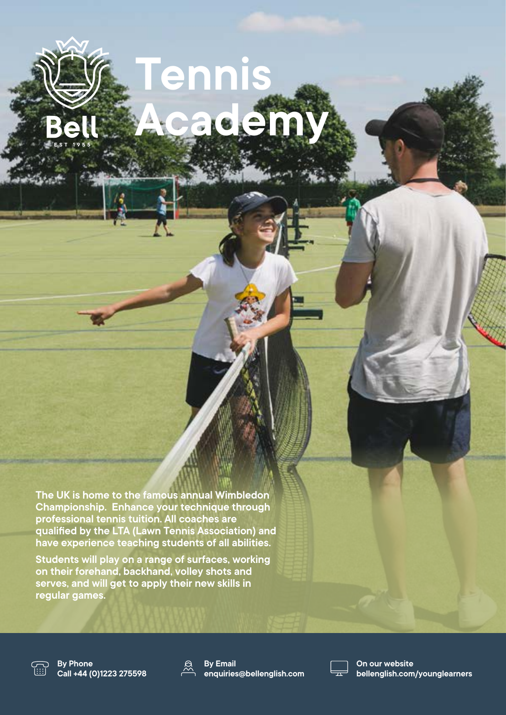# **Tennis 8 200**

**The UK is home to the famous annual Wimbledon Championship. Enhance your technique through professional tennis tuition. All coaches are qualified by the LTA (Lawn Tennis Association) and have experience teaching students of all abilities.** 

**Students will play on a range of surfaces, working on their forehand, backhand, volley shots and serves, and will get to apply their new skills in regular games.** 



**By Phone Call +44 (0)1223 275598**



**By Email enquiries@bellenglish.com**



**On our website bellenglish.com/younglearners**